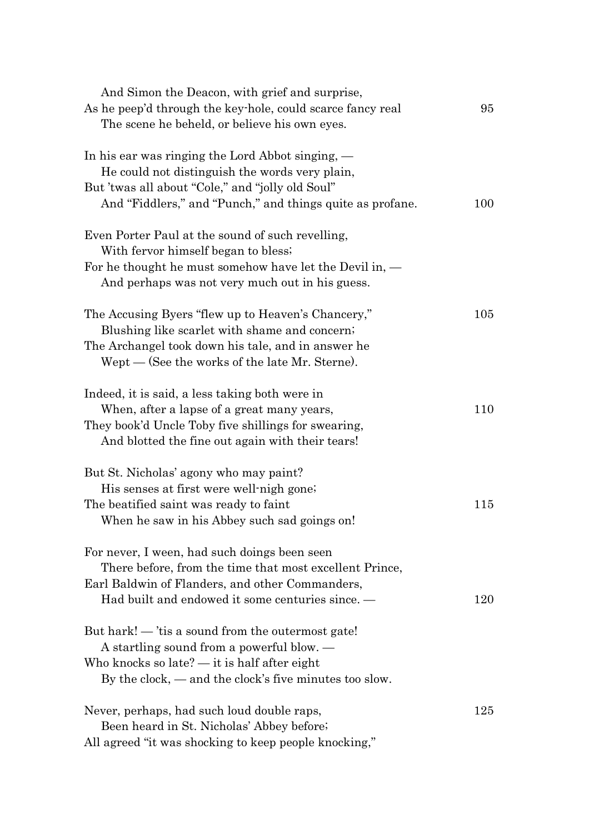| And Simon the Deacon, with grief and surprise,<br>As he peep'd through the key-hole, could scarce fancy real | 95  |
|--------------------------------------------------------------------------------------------------------------|-----|
| The scene he beheld, or believe his own eyes.                                                                |     |
| In his ear was ringing the Lord Abbot singing, —                                                             |     |
| He could not distinguish the words very plain,                                                               |     |
| But 'twas all about "Cole," and "jolly old Soul"                                                             |     |
| And "Fiddlers," and "Punch," and things quite as profane.                                                    | 100 |
| Even Porter Paul at the sound of such revelling,                                                             |     |
| With fervor himself began to bless.                                                                          |     |
| For he thought he must somehow have let the Devil in, $-$                                                    |     |
| And perhaps was not very much out in his guess.                                                              |     |
| The Accusing Byers "flew up to Heaven's Chancery,"                                                           | 105 |
| Blushing like scarlet with shame and concern.                                                                |     |
| The Archangel took down his tale, and in answer he                                                           |     |
| Wept — (See the works of the late Mr. Sterne).                                                               |     |
| Indeed, it is said, a less taking both were in                                                               |     |
| When, after a lapse of a great many years,                                                                   | 110 |
| They book'd Uncle Toby five shillings for swearing,                                                          |     |
| And blotted the fine out again with their tears!                                                             |     |
| But St. Nicholas' agony who may paint?                                                                       |     |
| His senses at first were well-nigh gone.                                                                     |     |
| The beatified saint was ready to faint                                                                       | 115 |
| When he saw in his Abbey such sad goings on!                                                                 |     |
| For never, I ween, had such doings been seen                                                                 |     |
| There before, from the time that most excellent Prince,                                                      |     |
| Earl Baldwin of Flanders, and other Commanders,                                                              |     |
| Had built and endowed it some centuries since. —                                                             | 120 |
| But hark! — 'tis a sound from the outermost gate!                                                            |     |
| A startling sound from a powerful blow. —                                                                    |     |
| Who knocks so late? $-$ it is half after eight                                                               |     |
| By the clock, $-$ and the clock's five minutes too slow.                                                     |     |
| Never, perhaps, had such loud double raps,                                                                   | 125 |
| Been heard in St. Nicholas' Abbey before;                                                                    |     |
| All agreed "it was shocking to keep people knocking,"                                                        |     |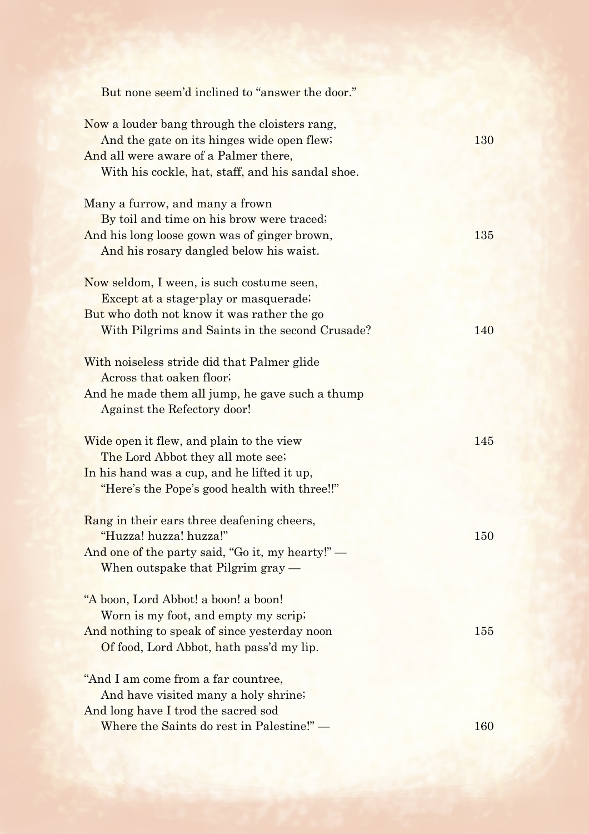| But none seem'd inclined to "answer the door."                                                                                                                                                                                                                                                                                                   |     |
|--------------------------------------------------------------------------------------------------------------------------------------------------------------------------------------------------------------------------------------------------------------------------------------------------------------------------------------------------|-----|
| Now a louder bang through the cloisters rang,<br>And the gate on its hinges wide open flew;<br>And all were aware of a Palmer there,<br>With his cockle, hat, staff, and his sandal shoe.                                                                                                                                                        | 130 |
| Many a furrow, and many a frown<br>By toil and time on his brow were traced;<br>And his long loose gown was of ginger brown,<br>And his rosary dangled below his waist.                                                                                                                                                                          | 135 |
| Now seldom, I ween, is such costume seen,<br>Except at a stage-play or masquerade;<br>But who doth not know it was rather the go<br>With Pilgrims and Saints in the second Crusade?<br>With noiseless stride did that Palmer glide<br>Across that oaken floor;<br>And he made them all jump, he gave such a thump<br>Against the Refectory door! | 140 |
| Wide open it flew, and plain to the view<br>The Lord Abbot they all mote see;<br>In his hand was a cup, and he lifted it up,<br>"Here's the Pope's good health with three!!"                                                                                                                                                                     | 145 |
| Rang in their ears three deafening cheers,<br>"Huzza! huzza! huzza!"<br>And one of the party said, "Go it, my hearty!" —<br>When outspake that Pilgrim gray -                                                                                                                                                                                    | 150 |
| "A boon, Lord Abbot! a boon! a boon!"<br>Worn is my foot, and empty my scrip;<br>And nothing to speak of since yesterday noon<br>Of food, Lord Abbot, hath pass'd my lip.                                                                                                                                                                        | 155 |
| "And I am come from a far countree,<br>And have visited many a holy shrine;<br>And long have I trod the sacred sod<br>Where the Saints do rest in Palestine!" -                                                                                                                                                                                  | 160 |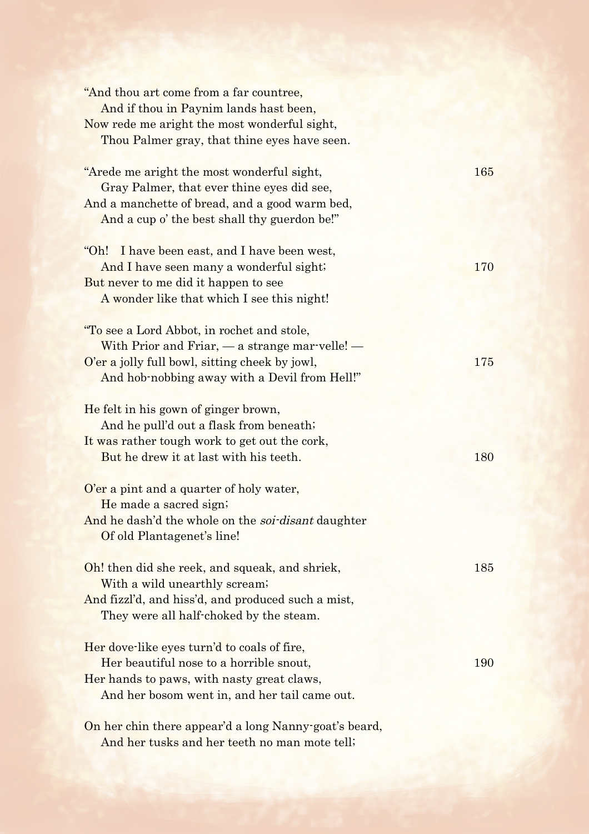| "And thou art come from a far countree,<br>And if thou in Paynim lands hast been,<br>Now rede me aright the most wonderful sight,<br>Thou Palmer gray, that thine eyes have seen.                   |     |
|-----------------------------------------------------------------------------------------------------------------------------------------------------------------------------------------------------|-----|
| "Arede me aright the most wonderful sight,<br>Gray Palmer, that ever thine eyes did see,<br>And a manchette of bread, and a good warm bed,<br>And a cup o' the best shall thy guerdon be!"          | 165 |
| "Oh!<br>I have been east, and I have been west,<br>And I have seen many a wonderful sight;<br>But never to me did it happen to see<br>A wonder like that which I see this night!                    | 170 |
| "To see a Lord Abbot, in rochet and stole,<br>With Prior and Friar, $-$ a strange mar-velle! $-$<br>O'er a jolly full bowl, sitting cheek by jowl,<br>And hob-nobbing away with a Devil from Hell!" | 175 |
| He felt in his gown of ginger brown,<br>And he pull'd out a flask from beneath;<br>It was rather tough work to get out the cork,<br>But he drew it at last with his teeth.                          | 180 |
| O'er a pint and a quarter of holy water,<br>He made a sacred sign;<br>And he dash'd the whole on the <i>soi-disant</i> daughter<br>Of old Plantagenet's line!                                       |     |
| Oh! then did she reek, and squeak, and shriek,<br>With a wild unearthly scream;<br>And fizzl'd, and hiss'd, and produced such a mist,<br>They were all half-choked by the steam.                    | 185 |
| Her dove like eyes turn'd to coals of fire,<br>Her beautiful nose to a horrible snout,<br>Her hands to paws, with nasty great claws,<br>And her bosom went in, and her tail came out.               | 190 |
| On her chin there appear'd a long Nanny-goat's beard,<br>And her tusks and her teeth no man mote tell;                                                                                              |     |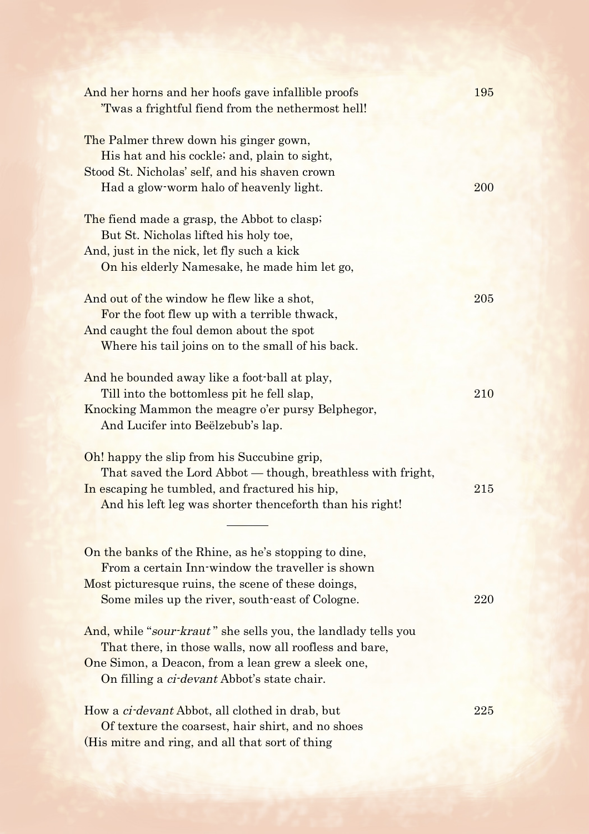| And her horns and her hoofs gave infallible proofs<br>'Twas a frightful fiend from the nethermost hell!                                                                                                                             | 195 |
|-------------------------------------------------------------------------------------------------------------------------------------------------------------------------------------------------------------------------------------|-----|
| The Palmer threw down his ginger gown,<br>His hat and his cockle; and, plain to sight,<br>Stood St. Nicholas' self, and his shaven crown<br>Had a glow-worm halo of heavenly light.                                                 | 200 |
| The fiend made a grasp, the Abbot to clasp;<br>But St. Nicholas lifted his holy toe,<br>And, just in the nick, let fly such a kick<br>On his elderly Namesake, he made him let go,                                                  |     |
| And out of the window he flew like a shot,<br>For the foot flew up with a terrible thwack,<br>And caught the foul demon about the spot<br>Where his tail joins on to the small of his back.                                         | 205 |
| And he bounded away like a foot-ball at play,<br>Till into the bottomless pit he fell slap,<br>Knocking Mammon the meagre o'er pursy Belphegor,<br>And Lucifer into Beëlzebub's lap.                                                | 210 |
| Oh! happy the slip from his Succubine grip,<br>That saved the Lord Abbot - though, breathless with fright,<br>In escaping he tumbled, and fractured his hip,<br>And his left leg was shorter thenceforth than his right!            | 215 |
| On the banks of the Rhine, as he's stopping to dine,<br>From a certain Inn-window the traveller is shown<br>Most picturesque ruins, the scene of these doings,<br>Some miles up the river, south-east of Cologne.                   | 220 |
| And, while "sour-kraut" she sells you, the landlady tells you<br>That there, in those walls, now all roofless and bare,<br>One Simon, a Deacon, from a lean grew a sleek one,<br>On filling a <i>ci-devant</i> Abbot's state chair. |     |
| How a <i>ci-devant</i> Abbot, all clothed in drab, but<br>Of texture the coarsest, hair shirt, and no shoes<br>(His mitre and ring, and all that sort of thing                                                                      | 225 |